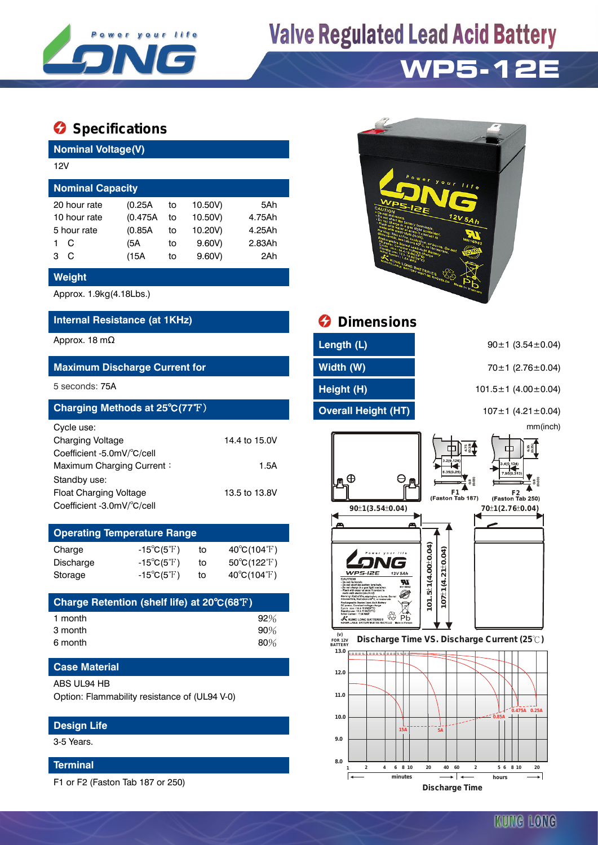

## **Valve Regulated Lead Acid Battery**

### **WP5-12E**

### $\bullet$  Specifications

**Nominal Voltage(V)**

| 12V                     |  |          |    |         |        |  |  |  |
|-------------------------|--|----------|----|---------|--------|--|--|--|
| <b>Nominal Capacity</b> |  |          |    |         |        |  |  |  |
| 20 hour rate            |  | (0.25A   | to | 10.50V) | 5Ah    |  |  |  |
| 10 hour rate            |  | (0.475A) | to | 10.50V) | 4.75Ah |  |  |  |
| 5 hour rate             |  | (0.85A)  | to | 10.20V) | 4.25Ah |  |  |  |
| C                       |  | (5A      | to | 9.60V   | 2.83Ah |  |  |  |
| C<br>3                  |  | (15A     | to | 9.60V   | 2Ah    |  |  |  |
|                         |  |          |    |         |        |  |  |  |

#### **Weight**

Approx. 1.9kg(4.18Lbs.)

### **Internal Resistance (at 1KHz) Dimensions**

#### **Maximum Discharge Current for Width (W) Width (W)** 70±1 (2.76±0.04)

| Charging Methods at 25°C(77°F) |               |
|--------------------------------|---------------|
| Cycle use:                     |               |
| <b>Charging Voltage</b>        | 14.4 to 15.0V |
| Coefficient -5.0mV/°C/cell     |               |
| Maximum Charging Current:      | 1.5A          |
| Standby use:                   |               |
| Float Charging Voltage         | 13.5 to 13.8V |
| Coefficient -3.0mV/°C/cell     |               |

| <b>Operating Temperature Range</b> |                            |    |                             |  |  |  |  |
|------------------------------------|----------------------------|----|-----------------------------|--|--|--|--|
| Charge                             | $-15^{\circ}C(5^{\circ}F)$ | to | $40^{\circ}C(104^{\circ}F)$ |  |  |  |  |
| Discharge                          | $-15^{\circ}C(5^{\circ}F)$ | t٥ | $50^{\circ}C(122^{\circ}F)$ |  |  |  |  |
| Storage                            | $-15^{\circ}C(5^{\circ}F)$ | tο | $40^{\circ}C(104^{\circ}F)$ |  |  |  |  |

| Charge Retention (shelf life) at 20°C(68°F) |        |
|---------------------------------------------|--------|
| 1 month                                     | 92%    |
| 3 month                                     | 90%    |
| 6 month                                     | $80\%$ |

#### **Case Material**

ABS UL94 HB

Option: Flammability resistance of (UL94 V-0)

#### **Design Life**

3-5 Years.

#### **Terminal**

F1 or F2 (Faston Tab 187 or 250)

| Power your<br>WP <sub>5-</sub><br>2E<br>CAUTION<br>. Do not incinerate.<br><b>No not short the battery terminals.</b><br>- Do not charge in a gas tight container.<br><b>SFluth with water at once If contact is</b><br>Wamper Reserve to the State of the Burns Do not<br><b>Residence of School Construction (Section 2)</b><br>Construction (Section 2)<br>Construction (Section 2)<br>Bandalum (Section 2)<br>Bandalum (Section 2)<br>Particular (Section 2)<br>Particular (Section 2)<br><b>SAN MUNIC LONG BATTERIES CONTRACTOR DE RECYCLED</b> | $l$ i f<br>e<br>12V5Ah<br><b>MH16982</b><br><b>ISO don</b><br><b>Same</b><br>Made in Vietnam |
|------------------------------------------------------------------------------------------------------------------------------------------------------------------------------------------------------------------------------------------------------------------------------------------------------------------------------------------------------------------------------------------------------------------------------------------------------------------------------------------------------------------------------------------------------|----------------------------------------------------------------------------------------------|
|                                                                                                                                                                                                                                                                                                                                                                                                                                                                                                                                                      |                                                                                              |

| Approx. 18 m $\Omega$                | Length (L)          | $90 \pm 1$ (3.54 $\pm$ 0.04)    |
|--------------------------------------|---------------------|---------------------------------|
| <b>Maximum Discharge Current for</b> | Width (W)           | $70\pm1$ (2.76 $\pm$ 0.04)      |
| 5 seconds: 75A                       | Height (H)          | $101.5 \pm 1$ (4.00 $\pm$ 0.04) |
| Charging Methods at 25°C(77°F)       | Overall Height (HT) | $107 \pm 1$ (4.21 $\pm$ 0.04)   |

Æ

K

mm(inch) **(0.19) 6.35 (0.25) 4.75** A **(0.03) (0.03) 0.8 0.8 F1 F1 F2 F2**<br>(Faston Tab 187) (Faston Tab 250) **90**±1(3.54±0.04)  $70\pm1(2.76\pm0.04)$  $101.5 \pm 1(4.00 \pm 0.04)$ **101.5 1(4.00 0.04)** ± ± **107 1(4.21 0.04)** ± ±  $07\pm1(4.21\pm0.04)$ 5-12F W Ø  $\mathbb{Z}$ **KUNG LONG BATTERIES**